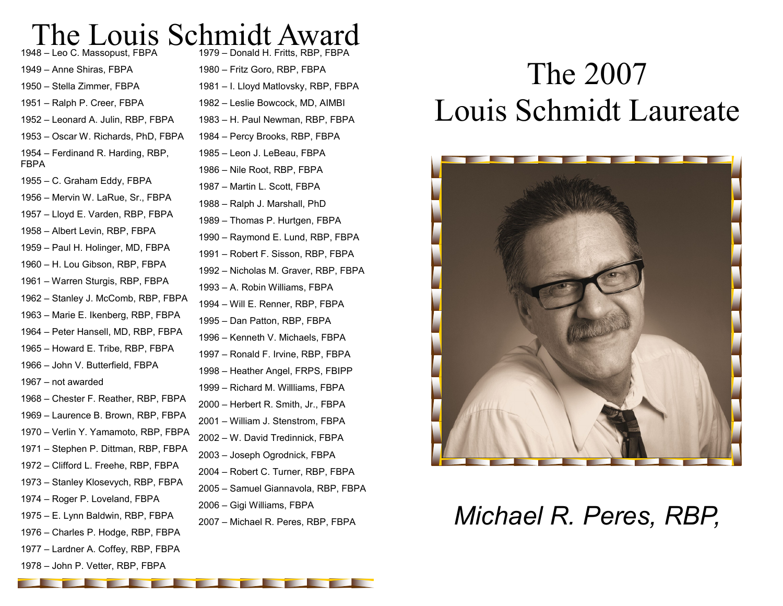#### The Louis Schmidt Award – Donald H. Fritts, RBP, FBPA

– Leo C. Massopust, FBPA – Anne Shiras, FBPA – Stella Zimmer, FBPA – Ralph P. Creer, FBPA – Leonard A. Julin, RBP, FBPA – Oscar W. Richards, PhD, FBPA – Ferdinand R. Harding, RBP, FBPA – C. Graham Eddy, FBPA – Mervin W. LaRue, Sr., FBPA – Lloyd E. Varden, RBP, FBPA – Albert Levin, RBP, FBPA – Paul H. Holinger, MD, FBPA – H. Lou Gibson, RBP, FBPA – Warren Sturgis, RBP, FBPA – Stanley J. McComb, RBP, FBPA – Marie E. Ikenberg, RBP, FBPA – Peter Hansell, MD, RBP, FBPA – Howard E. Tribe, RBP, FBPA – John V. Butterfield, FBPA – not awarded – Chester F. Reather, RBP, FBPA – Laurence B. Brown, RBP, FBPA – Verlin Y. Yamamoto, RBP, FBPA – Stephen P. Dittman, RBP, FBPA – Clifford L. Freehe, RBP, FBPA – Stanley Klosevych, RBP, FBPA – Roger P. Loveland, FBPA – E. Lynn Baldwin, RBP, FBPA – Charles P. Hodge, RBP, FBPA – Lardner A. Coffey, RBP, FBPA

– John P. Vetter, RBP, FBPA

– H. Paul Newman, RBP, FBPA – Percy Brooks, RBP, FBPA – Leon J. LeBeau, FBPA – Nile Root, RBP, FBPA – Martin L. Scott, FBPA – Ralph J. Marshall, PhD – Thomas P. Hurtgen, FBPA – Raymond E. Lund, RBP, FBPA – Robert F. Sisson, RBP, FBPA – Nicholas M. Graver, RBP, FBPA – A. Robin Williams, FBPA – Will E. Renner, RBP, FBPA – Dan Patton, RBP, FBPA – Kenneth V. Michaels, FBPA – Ronald F. Irvine, RBP, FBPA – Heather Angel, FRPS, FBIPP – Richard M. Willliams, FBPA – Herbert R. Smith, Jr., FBPA – William J. Stenstrom, FBPA – W. David Tredinnick, FBPA – Joseph Ogrodnick, FBPA – Robert C. Turner, RBP, FBPA – Samuel Giannavola, RBP, FBPA – Gigi Williams, FBPA

– Fritz Goro, RBP, FBPA

– I. Lloyd Matlovsky, RBP, FBPA – Leslie Bowcock, MD, AIMBI

# The 2007 Louis Schmidt Laureate



## – Michael R. Peres, RBP, FBPA *Michael R. Peres, RBP,*